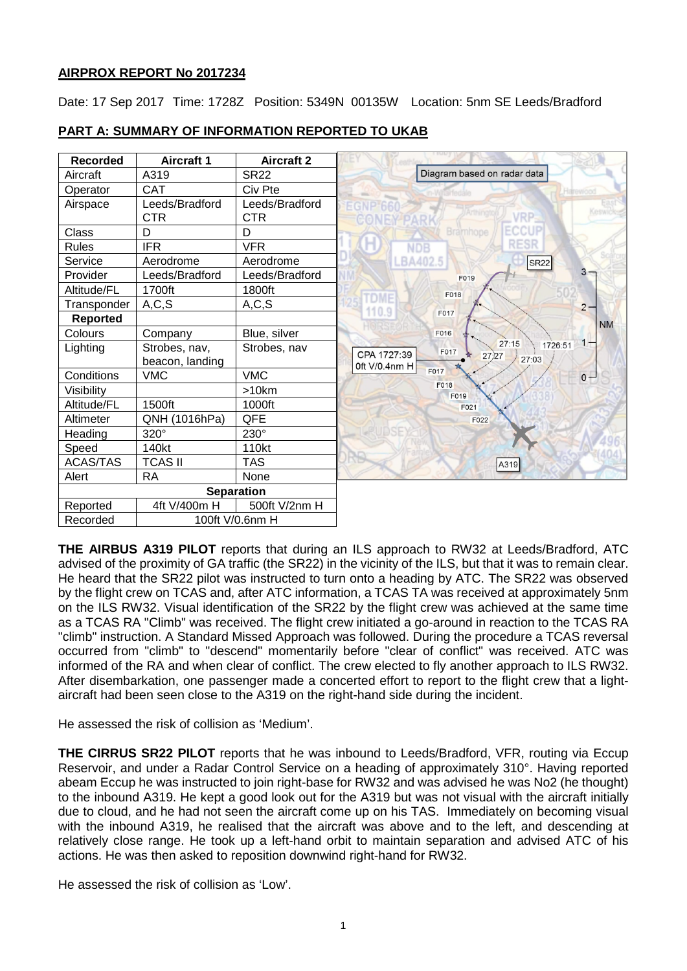# **AIRPROX REPORT No 2017234**

Date: 17 Sep 2017 Time: 1728Z Position: 5349N 00135W Location: 5nm SE Leeds/Bradford

| <b>Recorded</b>             | Aircraft 1        | <b>Aircraft 2</b> |                      |                             |
|-----------------------------|-------------------|-------------------|----------------------|-----------------------------|
| Aircraft                    | A319              | <b>SR22</b>       |                      | Diagram based on radar data |
| Operator                    | <b>CAT</b>        | Civ Pte           |                      |                             |
| Airspace                    | Leeds/Bradford    | Leeds/Bradford    |                      |                             |
|                             | <b>CTR</b>        | <b>CTR</b>        |                      |                             |
| Class                       | D                 | D                 |                      | Bramhope                    |
| <b>Rules</b>                | <b>IFR</b>        | <b>VFR</b>        | <b>NDB</b>           |                             |
| Service                     | Aerodrome         | Aerodrome         | BA402.5              |                             |
| Provider                    | Leeds/Bradford    | Leeds/Bradford    |                      | F019                        |
| Altitude/FL                 | 1700ft            | 1800ft            | F018                 |                             |
| Transponder                 | A, C, S           | A, C, S           | <b>TDME</b><br>110.9 |                             |
| <b>Reported</b>             |                   |                   | F017                 |                             |
| Colours                     | Company           | Blue, silver      | F016                 |                             |
| Lighting                    | Strobes, nav,     | Strobes, nav      | F017<br>CPA 1727:39  | 27:27                       |
|                             | beacon, landing   |                   | 0ft V/0.4nm H        |                             |
| Conditions                  | <b>VMC</b>        | <b>VMC</b>        | F017                 |                             |
| Visibility                  |                   | >10km             | F018                 | F019                        |
| Altitude/FL                 | 1500ft            | 1000ft            |                      | F021                        |
| Altimeter                   | QNH (1016hPa)     | QFE               |                      | F022                        |
| Heading                     | 320°              | 230°              |                      |                             |
| Speed                       | 140kt             | 110kt             |                      |                             |
| <b>ACAS/TAS</b>             | <b>TCAS II</b>    | <b>TAS</b>        |                      |                             |
| Alert                       | <b>RA</b>         | None              |                      |                             |
|                             | <b>Separation</b> |                   |                      |                             |
| Reported                    | 4ft V/400m H      | 500ft V/2nm H     |                      |                             |
| 100ft V/0.6nm H<br>Recorded |                   |                   |                      |                             |

# **PART A: SUMMARY OF INFORMATION REPORTED TO UKAB**

**THE AIRBUS A319 PILOT** reports that during an ILS approach to RW32 at Leeds/Bradford, ATC advised of the proximity of GA traffic (the SR22) in the vicinity of the ILS, but that it was to remain clear. He heard that the SR22 pilot was instructed to turn onto a heading by ATC. The SR22 was observed by the flight crew on TCAS and, after ATC information, a TCAS TA was received at approximately 5nm on the ILS RW32. Visual identification of the SR22 by the flight crew was achieved at the same time as a TCAS RA "Climb" was received. The flight crew initiated a go-around in reaction to the TCAS RA "climb" instruction. A Standard Missed Approach was followed. During the procedure a TCAS reversal occurred from "climb" to "descend" momentarily before "clear of conflict" was received. ATC was informed of the RA and when clear of conflict. The crew elected to fly another approach to ILS RW32. After disembarkation, one passenger made a concerted effort to report to the flight crew that a lightaircraft had been seen close to the A319 on the right-hand side during the incident.

He assessed the risk of collision as 'Medium'.

**THE CIRRUS SR22 PILOT** reports that he was inbound to Leeds/Bradford, VFR, routing via Eccup Reservoir, and under a Radar Control Service on a heading of approximately 310°. Having reported abeam Eccup he was instructed to join right-base for RW32 and was advised he was No2 (he thought) to the inbound A319. He kept a good look out for the A319 but was not visual with the aircraft initially due to cloud, and he had not seen the aircraft come up on his TAS. Immediately on becoming visual with the inbound A319, he realised that the aircraft was above and to the left, and descending at relatively close range. He took up a left-hand orbit to maintain separation and advised ATC of his actions. He was then asked to reposition downwind right-hand for RW32.

He assessed the risk of collision as 'Low'.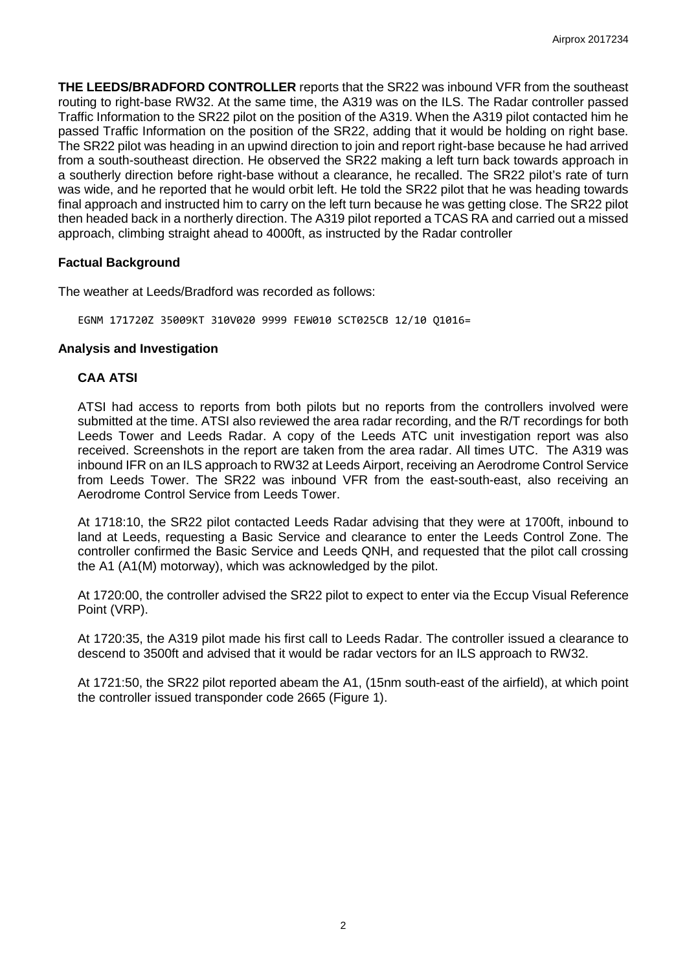**THE LEEDS/BRADFORD CONTROLLER** reports that the SR22 was inbound VFR from the southeast routing to right-base RW32. At the same time, the A319 was on the ILS. The Radar controller passed Traffic Information to the SR22 pilot on the position of the A319. When the A319 pilot contacted him he passed Traffic Information on the position of the SR22, adding that it would be holding on right base. The SR22 pilot was heading in an upwind direction to join and report right-base because he had arrived from a south-southeast direction. He observed the SR22 making a left turn back towards approach in a southerly direction before right-base without a clearance, he recalled. The SR22 pilot's rate of turn was wide, and he reported that he would orbit left. He told the SR22 pilot that he was heading towards final approach and instructed him to carry on the left turn because he was getting close. The SR22 pilot then headed back in a northerly direction. The A319 pilot reported a TCAS RA and carried out a missed approach, climbing straight ahead to 4000ft, as instructed by the Radar controller

## **Factual Background**

The weather at Leeds/Bradford was recorded as follows:

EGNM 171720Z 35009KT 310V020 9999 FEW010 SCT025CB 12/10 Q1016=

### **Analysis and Investigation**

## **CAA ATSI**

ATSI had access to reports from both pilots but no reports from the controllers involved were submitted at the time. ATSI also reviewed the area radar recording, and the R/T recordings for both Leeds Tower and Leeds Radar. A copy of the Leeds ATC unit investigation report was also received. Screenshots in the report are taken from the area radar. All times UTC. The A319 was inbound IFR on an ILS approach to RW32 at Leeds Airport, receiving an Aerodrome Control Service from Leeds Tower. The SR22 was inbound VFR from the east-south-east, also receiving an Aerodrome Control Service from Leeds Tower.

At 1718:10, the SR22 pilot contacted Leeds Radar advising that they were at 1700ft, inbound to land at Leeds, requesting a Basic Service and clearance to enter the Leeds Control Zone. The controller confirmed the Basic Service and Leeds QNH, and requested that the pilot call crossing the A1 (A1(M) motorway), which was acknowledged by the pilot.

At 1720:00, the controller advised the SR22 pilot to expect to enter via the Eccup Visual Reference Point (VRP).

At 1720:35, the A319 pilot made his first call to Leeds Radar. The controller issued a clearance to descend to 3500ft and advised that it would be radar vectors for an ILS approach to RW32.

At 1721:50, the SR22 pilot reported abeam the A1, (15nm south-east of the airfield), at which point the controller issued transponder code 2665 (Figure 1).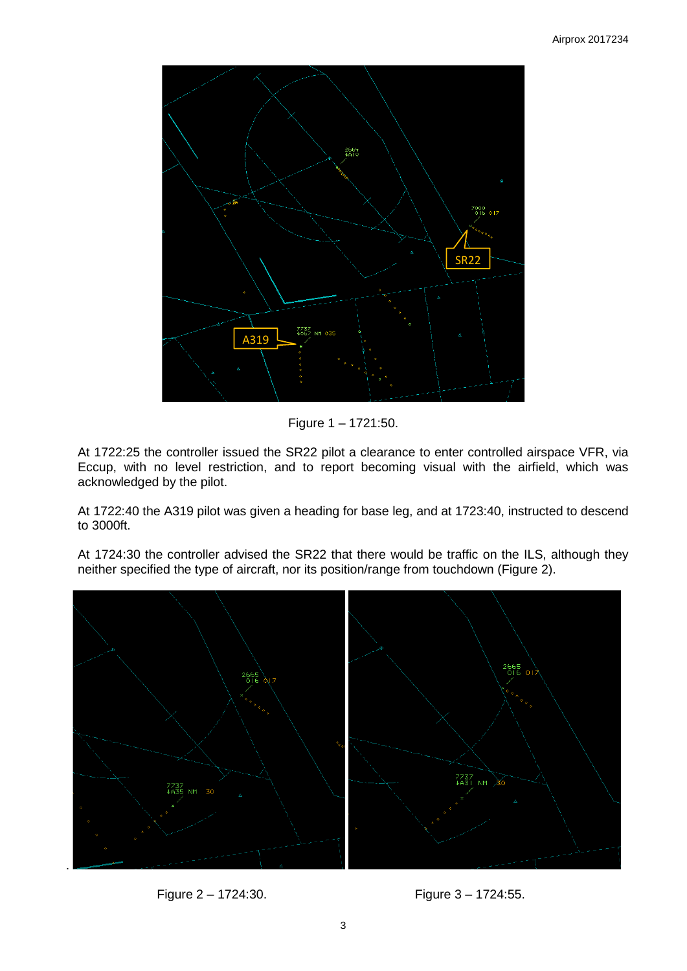

Figure 1 – 1721:50.

At 1722:25 the controller issued the SR22 pilot a clearance to enter controlled airspace VFR, via Eccup, with no level restriction, and to report becoming visual with the airfield, which was acknowledged by the pilot.

At 1722:40 the A319 pilot was given a heading for base leg, and at 1723:40, instructed to descend to 3000ft.

At 1724:30 the controller advised the SR22 that there would be traffic on the ILS, although they neither specified the type of aircraft, nor its position/range from touchdown (Figure 2).



Figure 2 – 1724:30. Figure 3 – 1724:55.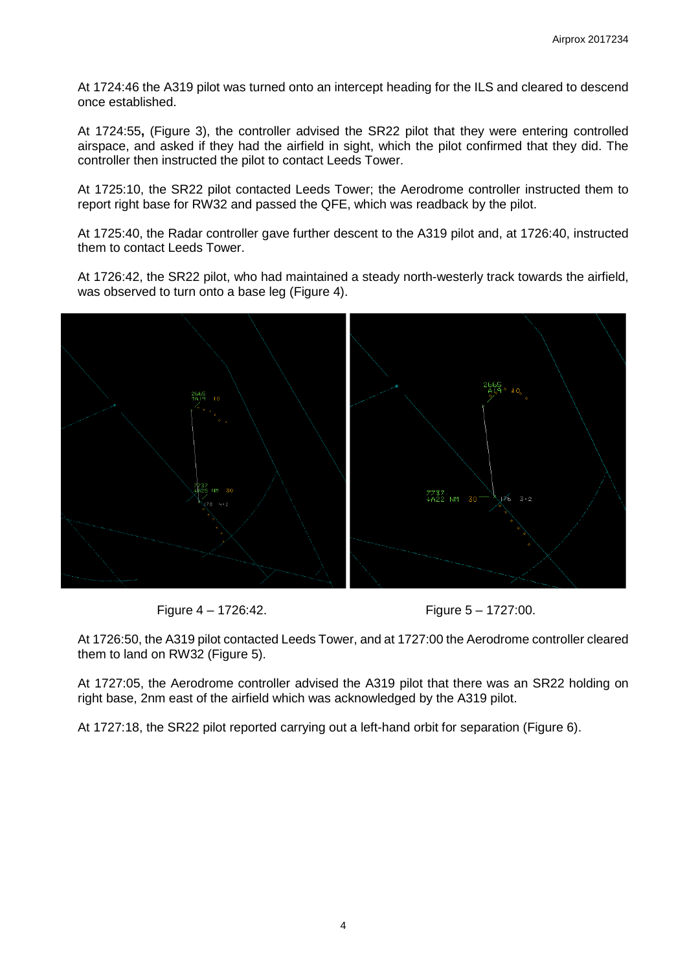At 1724:46 the A319 pilot was turned onto an intercept heading for the ILS and cleared to descend once established.

At 1724:55**,** (Figure 3), the controller advised the SR22 pilot that they were entering controlled airspace, and asked if they had the airfield in sight, which the pilot confirmed that they did. The controller then instructed the pilot to contact Leeds Tower.

At 1725:10, the SR22 pilot contacted Leeds Tower; the Aerodrome controller instructed them to report right base for RW32 and passed the QFE, which was readback by the pilot.

At 1725:40, the Radar controller gave further descent to the A319 pilot and, at 1726:40, instructed them to contact Leeds Tower.

At 1726:42, the SR22 pilot, who had maintained a steady north-westerly track towards the airfield, was observed to turn onto a base leg (Figure 4).



Figure 4 – 1726:42. Figure 5 – 1727:00.

At 1726:50, the A319 pilot contacted Leeds Tower, and at 1727:00 the Aerodrome controller cleared them to land on RW32 (Figure 5).

At 1727:05, the Aerodrome controller advised the A319 pilot that there was an SR22 holding on right base, 2nm east of the airfield which was acknowledged by the A319 pilot.

At 1727:18, the SR22 pilot reported carrying out a left-hand orbit for separation (Figure 6).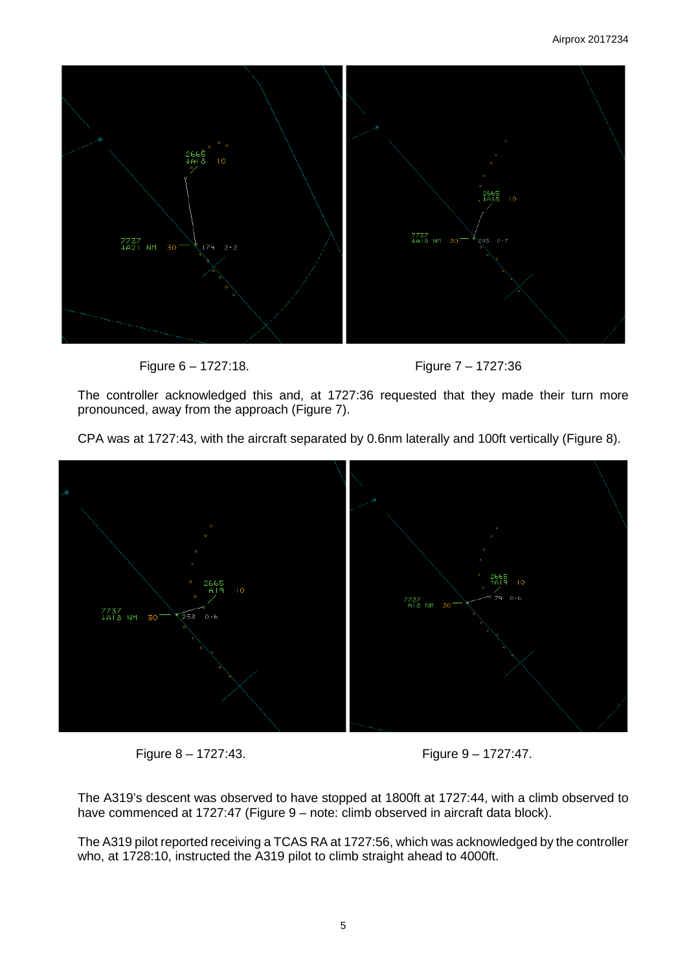

Figure 6 – 1727:18. Figure 7 – 1727:36

The controller acknowledged this and, at 1727:36 requested that they made their turn more pronounced, away from the approach (Figure 7).

CPA was at 1727:43, with the aircraft separated by 0.6nm laterally and 100ft vertically (Figure 8).





Figure 8 – 1727:43. Figure 9 – 1727:47.

The A319's descent was observed to have stopped at 1800ft at 1727:44, with a climb observed to have commenced at 1727:47 (Figure 9 – note: climb observed in aircraft data block).

The A319 pilot reported receiving a TCAS RA at 1727:56, which was acknowledged by the controller who, at 1728:10, instructed the A319 pilot to climb straight ahead to 4000ft.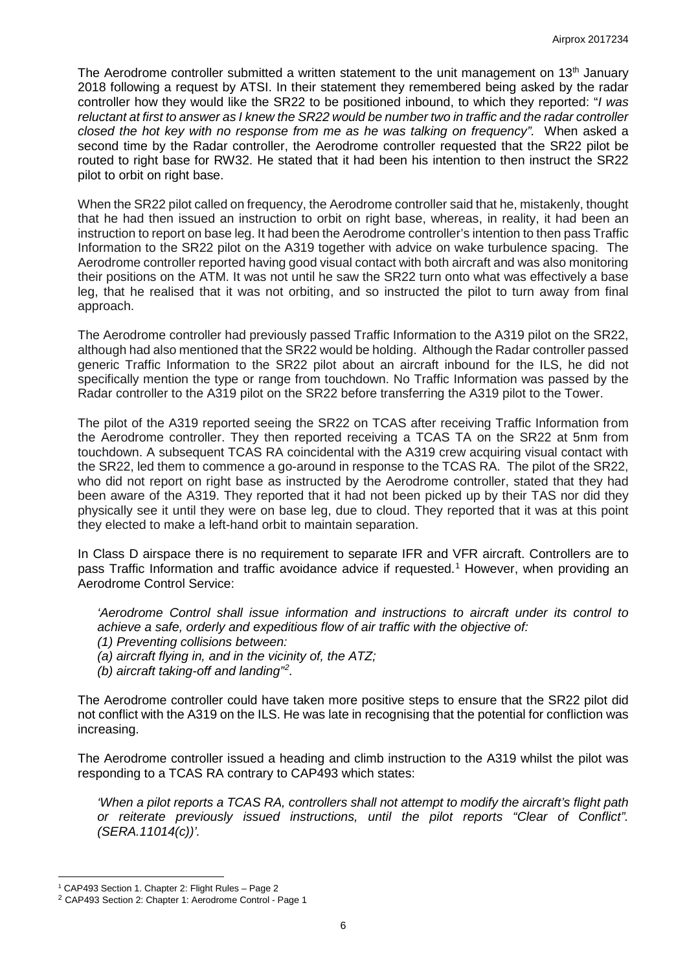The Aerodrome controller submitted a written statement to the unit management on 13<sup>th</sup> January 2018 following a request by ATSI. In their statement they remembered being asked by the radar controller how they would like the SR22 to be positioned inbound, to which they reported: "*I was reluctant at first to answer as I knew the SR22 would be number two in traffic and the radar controller closed the hot key with no response from me as he was talking on frequency".* When asked a second time by the Radar controller, the Aerodrome controller requested that the SR22 pilot be routed to right base for RW32. He stated that it had been his intention to then instruct the SR22 pilot to orbit on right base.

When the SR22 pilot called on frequency, the Aerodrome controller said that he, mistakenly, thought that he had then issued an instruction to orbit on right base, whereas, in reality, it had been an instruction to report on base leg. It had been the Aerodrome controller's intention to then pass Traffic Information to the SR22 pilot on the A319 together with advice on wake turbulence spacing. The Aerodrome controller reported having good visual contact with both aircraft and was also monitoring their positions on the ATM. It was not until he saw the SR22 turn onto what was effectively a base leg, that he realised that it was not orbiting, and so instructed the pilot to turn away from final approach.

The Aerodrome controller had previously passed Traffic Information to the A319 pilot on the SR22, although had also mentioned that the SR22 would be holding. Although the Radar controller passed generic Traffic Information to the SR22 pilot about an aircraft inbound for the ILS, he did not specifically mention the type or range from touchdown. No Traffic Information was passed by the Radar controller to the A319 pilot on the SR22 before transferring the A319 pilot to the Tower.

The pilot of the A319 reported seeing the SR22 on TCAS after receiving Traffic Information from the Aerodrome controller. They then reported receiving a TCAS TA on the SR22 at 5nm from touchdown. A subsequent TCAS RA coincidental with the A319 crew acquiring visual contact with the SR22, led them to commence a go-around in response to the TCAS RA. The pilot of the SR22, who did not report on right base as instructed by the Aerodrome controller, stated that they had been aware of the A319. They reported that it had not been picked up by their TAS nor did they physically see it until they were on base leg, due to cloud. They reported that it was at this point they elected to make a left-hand orbit to maintain separation.

In Class D airspace there is no requirement to separate IFR and VFR aircraft. Controllers are to pass Traffic Information and traffic avoidance advice if requested.<sup>[1](#page-5-0)</sup> However, when providing an Aerodrome Control Service:

*'Aerodrome Control shall issue information and instructions to aircraft under its control to achieve a safe, orderly and expeditious flow of air traffic with the objective of: (1) Preventing collisions between:* 

- *(a) aircraft flying in, and in the vicinity of, the ATZ;*
- *(b) aircraft taking-off and landing" [2](#page-5-1) .*

The Aerodrome controller could have taken more positive steps to ensure that the SR22 pilot did not conflict with the A319 on the ILS. He was late in recognising that the potential for confliction was increasing.

The Aerodrome controller issued a heading and climb instruction to the A319 whilst the pilot was responding to a TCAS RA contrary to CAP493 which states:

*'When a pilot reports a TCAS RA, controllers shall not attempt to modify the aircraft's flight path or reiterate previously issued instructions, until the pilot reports "Clear of Conflict". (SERA.11014(c))'.*

 $\overline{\phantom{a}}$ 

<sup>&</sup>lt;sup>1</sup> CAP493 Section 1. Chapter 2: Flight Rules - Page 2

<span id="page-5-1"></span><span id="page-5-0"></span><sup>2</sup> CAP493 Section 2: Chapter 1: Aerodrome Control - Page 1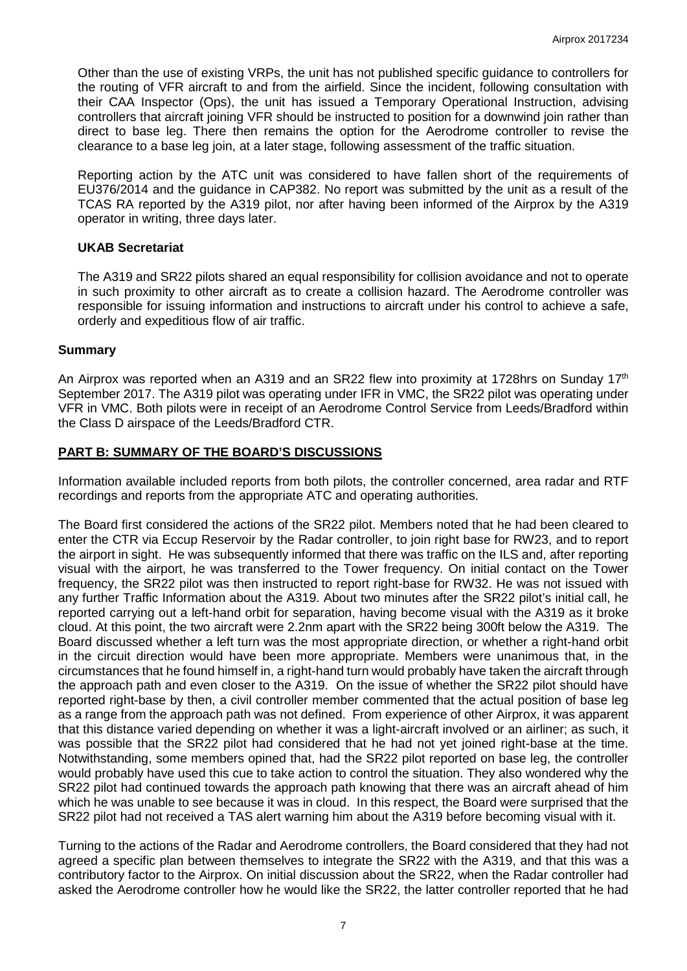Other than the use of existing VRPs, the unit has not published specific guidance to controllers for the routing of VFR aircraft to and from the airfield. Since the incident, following consultation with their CAA Inspector (Ops), the unit has issued a Temporary Operational Instruction, advising controllers that aircraft joining VFR should be instructed to position for a downwind join rather than direct to base leg. There then remains the option for the Aerodrome controller to revise the clearance to a base leg join, at a later stage, following assessment of the traffic situation.

Reporting action by the ATC unit was considered to have fallen short of the requirements of EU376/2014 and the guidance in CAP382. No report was submitted by the unit as a result of the TCAS RA reported by the A319 pilot, nor after having been informed of the Airprox by the A319 operator in writing, three days later.

### **UKAB Secretariat**

The A319 and SR22 pilots shared an equal responsibility for collision avoidance and not to operate in such proximity to other aircraft as to create a collision hazard. The Aerodrome controller was responsible for issuing information and instructions to aircraft under his control to achieve a safe, orderly and expeditious flow of air traffic.

#### **Summary**

An Airprox was reported when an A319 and an SR22 flew into proximity at 1728hrs on Sunday 17<sup>th</sup> September 2017. The A319 pilot was operating under IFR in VMC, the SR22 pilot was operating under VFR in VMC. Both pilots were in receipt of an Aerodrome Control Service from Leeds/Bradford within the Class D airspace of the Leeds/Bradford CTR.

## **PART B: SUMMARY OF THE BOARD'S DISCUSSIONS**

Information available included reports from both pilots, the controller concerned, area radar and RTF recordings and reports from the appropriate ATC and operating authorities.

The Board first considered the actions of the SR22 pilot. Members noted that he had been cleared to enter the CTR via Eccup Reservoir by the Radar controller, to join right base for RW23, and to report the airport in sight. He was subsequently informed that there was traffic on the ILS and, after reporting visual with the airport, he was transferred to the Tower frequency. On initial contact on the Tower frequency, the SR22 pilot was then instructed to report right-base for RW32. He was not issued with any further Traffic Information about the A319. About two minutes after the SR22 pilot's initial call, he reported carrying out a left-hand orbit for separation, having become visual with the A319 as it broke cloud. At this point, the two aircraft were 2.2nm apart with the SR22 being 300ft below the A319. The Board discussed whether a left turn was the most appropriate direction, or whether a right-hand orbit in the circuit direction would have been more appropriate. Members were unanimous that, in the circumstances that he found himself in, a right-hand turn would probably have taken the aircraft through the approach path and even closer to the A319. On the issue of whether the SR22 pilot should have reported right-base by then, a civil controller member commented that the actual position of base leg as a range from the approach path was not defined. From experience of other Airprox, it was apparent that this distance varied depending on whether it was a light-aircraft involved or an airliner; as such, it was possible that the SR22 pilot had considered that he had not yet joined right-base at the time. Notwithstanding, some members opined that, had the SR22 pilot reported on base leg, the controller would probably have used this cue to take action to control the situation. They also wondered why the SR22 pilot had continued towards the approach path knowing that there was an aircraft ahead of him which he was unable to see because it was in cloud. In this respect, the Board were surprised that the SR22 pilot had not received a TAS alert warning him about the A319 before becoming visual with it.

Turning to the actions of the Radar and Aerodrome controllers, the Board considered that they had not agreed a specific plan between themselves to integrate the SR22 with the A319, and that this was a contributory factor to the Airprox. On initial discussion about the SR22, when the Radar controller had asked the Aerodrome controller how he would like the SR22, the latter controller reported that he had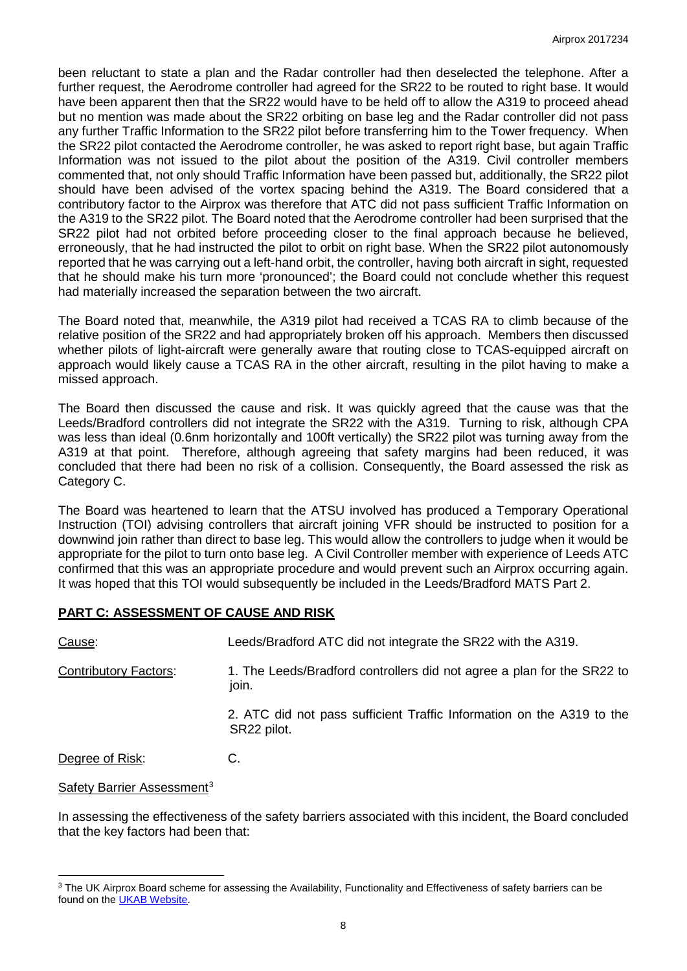been reluctant to state a plan and the Radar controller had then deselected the telephone. After a further request, the Aerodrome controller had agreed for the SR22 to be routed to right base. It would have been apparent then that the SR22 would have to be held off to allow the A319 to proceed ahead but no mention was made about the SR22 orbiting on base leg and the Radar controller did not pass any further Traffic Information to the SR22 pilot before transferring him to the Tower frequency. When the SR22 pilot contacted the Aerodrome controller, he was asked to report right base, but again Traffic Information was not issued to the pilot about the position of the A319. Civil controller members commented that, not only should Traffic Information have been passed but, additionally, the SR22 pilot should have been advised of the vortex spacing behind the A319. The Board considered that a contributory factor to the Airprox was therefore that ATC did not pass sufficient Traffic Information on the A319 to the SR22 pilot. The Board noted that the Aerodrome controller had been surprised that the SR22 pilot had not orbited before proceeding closer to the final approach because he believed, erroneously, that he had instructed the pilot to orbit on right base. When the SR22 pilot autonomously reported that he was carrying out a left-hand orbit, the controller, having both aircraft in sight, requested that he should make his turn more 'pronounced'; the Board could not conclude whether this request had materially increased the separation between the two aircraft.

The Board noted that, meanwhile, the A319 pilot had received a TCAS RA to climb because of the relative position of the SR22 and had appropriately broken off his approach. Members then discussed whether pilots of light-aircraft were generally aware that routing close to TCAS-equipped aircraft on approach would likely cause a TCAS RA in the other aircraft, resulting in the pilot having to make a missed approach.

The Board then discussed the cause and risk. It was quickly agreed that the cause was that the Leeds/Bradford controllers did not integrate the SR22 with the A319. Turning to risk, although CPA was less than ideal (0.6nm horizontally and 100ft vertically) the SR22 pilot was turning away from the A319 at that point. Therefore, although agreeing that safety margins had been reduced, it was concluded that there had been no risk of a collision. Consequently, the Board assessed the risk as Category C.

The Board was heartened to learn that the ATSU involved has produced a Temporary Operational Instruction (TOI) advising controllers that aircraft joining VFR should be instructed to position for a downwind join rather than direct to base leg. This would allow the controllers to judge when it would be appropriate for the pilot to turn onto base leg. A Civil Controller member with experience of Leeds ATC confirmed that this was an appropriate procedure and would prevent such an Airprox occurring again. It was hoped that this TOI would subsequently be included in the Leeds/Bradford MATS Part 2.

## **PART C: ASSESSMENT OF CAUSE AND RISK**

| <u>Cause</u> :               | Leeds/Bradford ATC did not integrate the SR22 with the A319.                         |
|------------------------------|--------------------------------------------------------------------------------------|
| <b>Contributory Factors:</b> | 1. The Leeds/Bradford controllers did not agree a plan for the SR22 to<br>join.      |
|                              | 2. ATC did not pass sufficient Traffic Information on the A319 to the<br>SR22 pilot. |
| Degree of Risk:              | C.                                                                                   |

Safety Barrier Assessment<sup>[3](#page-7-0)</sup>

 $\overline{\phantom{a}}$ 

In assessing the effectiveness of the safety barriers associated with this incident, the Board concluded that the key factors had been that:

<span id="page-7-0"></span><sup>&</sup>lt;sup>3</sup> The UK Airprox Board scheme for assessing the Availability, Functionality and Effectiveness of safety barriers can be found on the [UKAB Website.](http://www.airproxboard.org.uk/Learn-more/Airprox-Barrier-Assessment/)